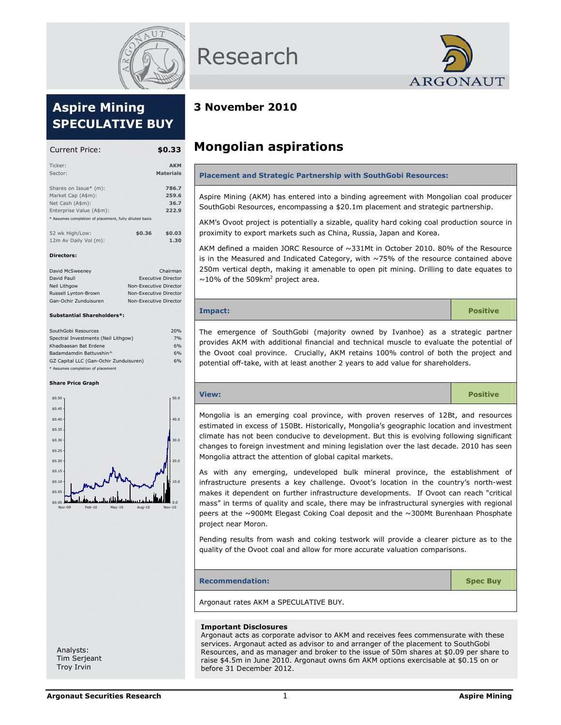

# Aspire Mining SPECULATIVE BUY

| Current Price:                                         | \$0.33                         |
|--------------------------------------------------------|--------------------------------|
| Ticker:<br>Sector:                                     | <b>AKM</b><br><b>Materials</b> |
| Shares on Issue* (m):                                  | 786.7                          |
| Market Cap (A\$m):                                     | 259.6                          |
| Net Cash (A\$m):                                       | 36.7                           |
| Enterprise Value (A\$m):                               | 222.9                          |
| * Assumes completion of placement, fully diluted basis |                                |
| $52$ wk High/Low:                                      | ≮በ 36<br>≮በ በ?                 |

| 52 wk High/Low:       | \$0.36 | \$0.03 |
|-----------------------|--------|--------|
| 12m Av Daily Vol (m): |        | 1.30   |

#### Directors:

| David McSweeney       | Chairman                  |
|-----------------------|---------------------------|
| David Paull           | <b>Executive Director</b> |
| Neil Lithgow          | Non-Executive Director    |
| Russell Lynton-Brown  | Non-Executive Director    |
| Gan-Ochir Zunduisuren | Non-Executive Director    |
|                       |                           |

#### Substantial Shareholders\*:

| SouthGobi Resources                    | 20% |
|----------------------------------------|-----|
| Spectral Investments (Neil Lithgow)    | 7%  |
| Khadbaasan Bat Erdene                  | 6%  |
| Badamdamdin Battuvshin^                | 6%  |
| GZ Capital LLC (Gan-Ochir Zunduisuren) | 6%  |
| * Assumes completion of placement      |     |

#### Share Price Graph



Analysts: Tim Serjeant Troy Irvin





## 3 November 2010

# Mongolian aspirations

## Placement and Strategic Partnership with SouthGobi Resources:

Aspire Mining (AKM) has entered into a binding agreement with Mongolian coal producer SouthGobi Resources, encompassing a \$20.1m placement and strategic partnership.

AKM's Ovoot project is potentially a sizable, quality hard coking coal production source in proximity to export markets such as China, Russia, Japan and Korea.

AKM defined a maiden JORC Resource of ~331Mt in October 2010. 80% of the Resource is in the Measured and Indicated Category, with  $\sim$ 75% of the resource contained above 250m vertical depth, making it amenable to open pit mining. Drilling to date equates to  $\sim$ 10% of the 509km<sup>2</sup> project area.

## Impact: Positive

The emergence of SouthGobi (majority owned by Ivanhoe) as a strategic partner provides AKM with additional financial and technical muscle to evaluate the potential of the Ovoot coal province. Crucially, AKM retains 100% control of both the project and potential off-take, with at least another 2 years to add value for shareholders.

## View: Positive

Mongolia is an emerging coal province, with proven reserves of 12Bt, and resources estimated in excess of 150Bt. Historically, Mongolia's geographic location and investment climate has not been conducive to development. But this is evolving following significant changes to foreign investment and mining legislation over the last decade. 2010 has seen Mongolia attract the attention of global capital markets.

As with any emerging, undeveloped bulk mineral province, the establishment of infrastructure presents a key challenge. Ovoot's location in the country's north-west makes it dependent on further infrastructure developments. If Ovoot can reach "critical mass" in terms of quality and scale, there may be infrastructural synergies with regional peers at the ~900Mt Elegast Coking Coal deposit and the ~300Mt Burenhaan Phosphate project near Moron.

Pending results from wash and coking testwork will provide a clearer picture as to the quality of the Ovoot coal and allow for more accurate valuation comparisons.

### **Recommendation:** Spec Buy

Argonaut rates AKM a SPECULATIVE BUY.

### Important Disclosures

Argonaut acts as corporate advisor to AKM and receives fees commensurate with these services. Argonaut acted as advisor to and arranger of the placement to SouthGobi Resources, and as manager and broker to the issue of 50m shares at \$0.09 per share to raise \$4.5m in June 2010. Argonaut owns 6m AKM options exercisable at \$0.15 on or before 31 December 2012.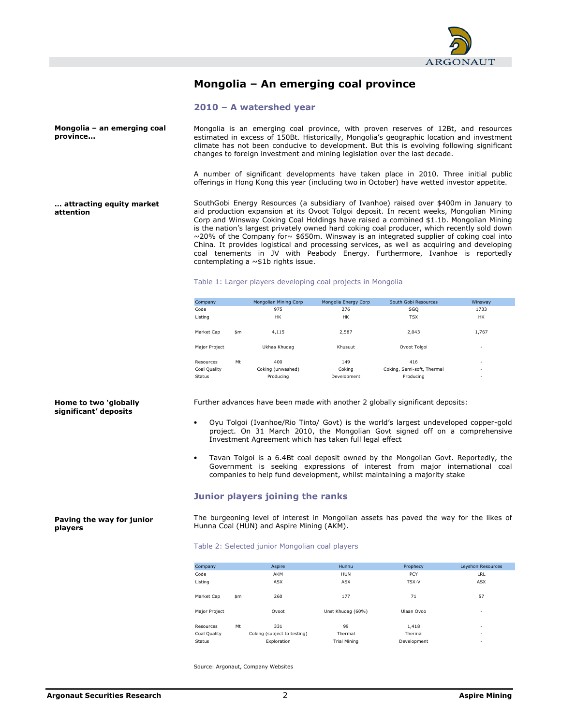

## Mongolia – An emerging coal province

## 2010 – A watershed year

Mongolia – an emerging coal province…

attention

Mongolia is an emerging coal province, with proven reserves of 12Bt, and resources estimated in excess of 150Bt. Historically, Mongolia's geographic location and investment climate has not been conducive to development. But this is evolving following significant changes to foreign investment and mining legislation over the last decade.

A number of significant developments have taken place in 2010. Three initial public offerings in Hong Kong this year (including two in October) have wetted investor appetite.

… attracting equity market SouthGobi Energy Resources (a subsidiary of Ivanhoe) raised over \$400m in January to aid production expansion at its Ovoot Tolgoi deposit. In recent weeks, Mongolian Mining Corp and Winsway Coking Coal Holdings have raised a combined \$1.1b. Mongolian Mining is the nation's largest privately owned hard coking coal producer, which recently sold down  $\sim$  20% of the Company for $\sim$  \$650m. Winsway is an integrated supplier of coking coal into China. It provides logistical and processing services, as well as acquiring and developing coal tenements in JV with Peabody Energy. Furthermore, Ivanhoe is reportedly contemplating a  $\sim$ \$1b rights issue.

#### Table 1: Larger players developing coal projects in Mongolia

| Company       |     | Mongolian Mining Corp | Mongolia Energy Corp | South Gobi Resources       | Winsway                  |
|---------------|-----|-----------------------|----------------------|----------------------------|--------------------------|
| Code          |     | 975                   | 276                  | SGQ                        | 1733                     |
| Listing       |     | <b>HK</b>             | <b>HK</b>            | <b>TSX</b>                 | HK                       |
| Market Cap    | \$m | 4,115                 | 2,587                | 2.043                      | 1,767                    |
| Major Project |     | Ukhaa Khudag          | Khusuut              | Ovoot Tolgoi               | $\overline{\phantom{a}}$ |
| Resources     | Mt  | 400                   | 149                  | 416                        | $\overline{\phantom{a}}$ |
| Coal Quality  |     | Coking (unwashed)     | Coking               | Coking, Semi-soft, Thermal | $\overline{\phantom{a}}$ |
| <b>Status</b> |     | Producina             | Development          | Producina                  | $\overline{\phantom{a}}$ |
|               |     |                       |                      |                            |                          |

Further advances have been made with another 2 globally significant deposits:

- Oyu Tolgoi (Ivanhoe/Rio Tinto/ Govt) is the world's largest undeveloped copper-gold project. On 31 March 2010, the Mongolian Govt signed off on a comprehensive Investment Agreement which has taken full legal effect
- Tavan Tolgoi is a 6.4Bt coal deposit owned by the Mongolian Govt. Reportedly, the Government is seeking expressions of interest from major international coal companies to help fund development, whilst maintaining a majority stake

### Junior players joining the ranks

The burgeoning level of interest in Mongolian assets has paved the way for the likes of Hunna Coal (HUN) and Aspire Mining (AKM).

#### Table 2: Selected junior Mongolian coal players

| Company       |     | Aspire                      | Hunnu               | Prophecy    | Leyshon Resources        |
|---------------|-----|-----------------------------|---------------------|-------------|--------------------------|
| Code          |     | AKM                         | <b>HUN</b>          | PCY         | <b>LRL</b>               |
| Listing       |     | <b>ASX</b>                  | <b>ASX</b>          | TSX-V       | <b>ASX</b>               |
|               |     |                             |                     |             |                          |
| Market Cap    | \$m | 260                         | 177                 | 71          | 57                       |
|               |     |                             |                     |             |                          |
| Major Project |     | Ovoot                       | Unst Khudag (60%)   | Ulaan Ovoo  | $\sim$                   |
|               |     |                             |                     |             |                          |
| Resources     | Mt  | 331                         | 99                  | 1,418       | $\overline{\phantom{a}}$ |
| Coal Quality  |     | Coking (subject to testing) | Thermal             | Thermal     | $\sim$                   |
| Status        |     | Exploration                 | <b>Trial Mining</b> | Development |                          |

Source: Argonaut, Company Websites

#### Home to two 'globally significant' deposits

Paving the way for junior players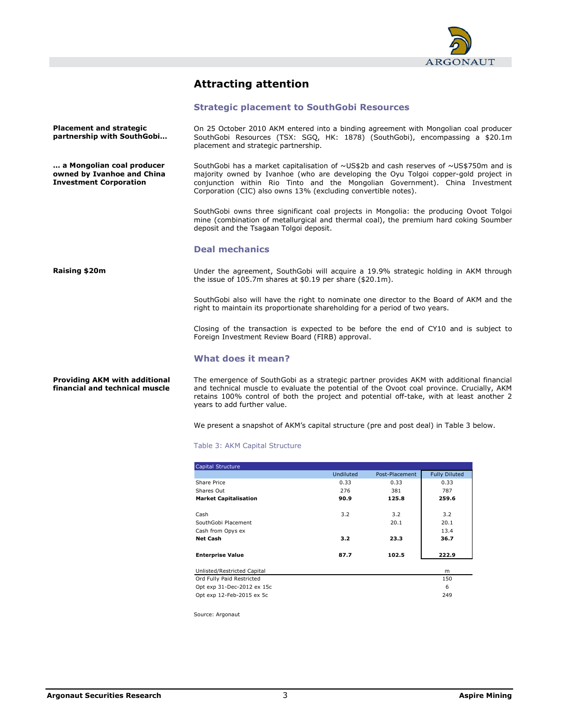

## Attracting attention

## Strategic placement to SouthGobi Resources

| <b>Placement and strategic</b><br>partnership with SouthGobi                             | On 25 October 2010 AKM entered into a binding agreement with Mongolian coal producer<br>SouthGobi Resources (TSX: SGQ, HK: 1878) (SouthGobi), encompassing a \$20.1m<br>placement and strategic partnership.                                                                                                                                |
|------------------------------------------------------------------------------------------|---------------------------------------------------------------------------------------------------------------------------------------------------------------------------------------------------------------------------------------------------------------------------------------------------------------------------------------------|
| a Mongolian coal producer<br>owned by Ivanhoe and China<br><b>Investment Corporation</b> | SouthGobi has a market capitalisation of $\sim$ US\$2b and cash reserves of $\sim$ US\$750m and is<br>majority owned by Ivanhoe (who are developing the Oyu Tolgoi copper-gold project in<br>conjunction within Rio Tinto and the Mongolian Government). China Investment<br>Corporation (CIC) also owns 13% (excluding convertible notes). |
|                                                                                          | SouthGobi owns three significant coal projects in Mongolia: the producing Ovoot Tolgoi<br>mine (combination of metallurgical and thermal coal), the premium hard coking Soumber<br>deposit and the Tsagaan Tolgoi deposit.                                                                                                                  |
|                                                                                          | <b>Deal mechanics</b>                                                                                                                                                                                                                                                                                                                       |
| Raising \$20m                                                                            | Under the agreement, SouthGobi will acquire a 19.9% strategic holding in AKM through<br>the issue of 105.7m shares at $$0.19$ per share $$20.1m$ ).                                                                                                                                                                                         |
|                                                                                          | SouthGobi also will have the right to nominate one director to the Board of AKM and the<br>right to maintain its proportionate shareholding for a period of two years.                                                                                                                                                                      |
|                                                                                          | Closing of the transaction is expected to be before the end of CY10 and is subject to<br>Foreign Investment Review Board (FIRB) approval.                                                                                                                                                                                                   |
|                                                                                          | What does it mean?                                                                                                                                                                                                                                                                                                                          |

# Providing AKM with additional

financial and technical muscle

The emergence of SouthGobi as a strategic partner provides AKM with additional financial and technical muscle to evaluate the potential of the Ovoot coal province. Crucially, AKM retains 100% control of both the project and potential off-take, with at least another 2 years to add further value.

We present a snapshot of AKM's capital structure (pre and post deal) in Table 3 below.

## Table 3: AKM Capital Structure

| Capital Structure            |           |                |                      |
|------------------------------|-----------|----------------|----------------------|
|                              | Undiluted | Post-Placement | <b>Fully Diluted</b> |
| Share Price                  | 0.33      | 0.33           | 0.33                 |
| Shares Out                   | 276       | 381            | 787                  |
| <b>Market Capitalisation</b> | 90.9      | 125.8          | 259.6                |
|                              |           |                |                      |
| Cash                         | 3.2       | 3.2            | 3.2                  |
| SouthGobi Placement          |           | 20.1           | 20.1                 |
| Cash from Opys ex            |           |                | 13.4                 |
| <b>Net Cash</b>              | 3.2       | 23.3           | 36.7                 |
|                              |           |                |                      |
| <b>Enterprise Value</b>      | 87.7      | 102.5          | 222.9                |
| Unlisted/Restricted Capital  |           |                | m                    |
| Ord Fully Paid Restricted    |           |                | 150                  |
| Opt exp 31-Dec-2012 ex 15c   |           |                | 6                    |
| Opt exp 12-Feb-2015 ex 5c    |           |                | 249                  |

Source: Argonaut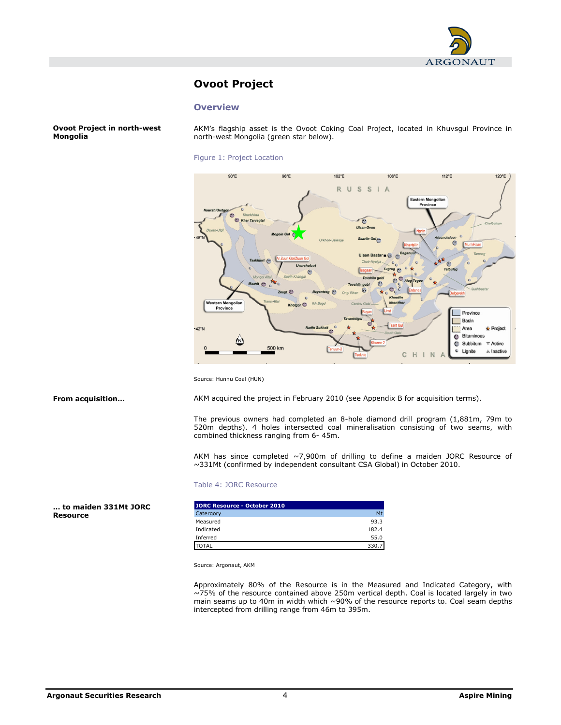

## Ovoot Project

## **Overview**

Ovoot Project in north-west Mongolia

AKM's flagship asset is the Ovoot Coking Coal Project, located in Khuvsgul Province in north-west Mongolia (green star below).

Figure 1: Project Location



Source: Hunnu Coal (HUN)

From acquisition…

AKM acquired the project in February 2010 (see Appendix B for acquisition terms).

The previous owners had completed an 8-hole diamond drill program (1,881m, 79m to 520m depths). 4 holes intersected coal mineralisation consisting of two seams, with combined thickness ranging from 6- 45m.

AKM has since completed ~7,900m of drilling to define a maiden JORC Resource of ~331Mt (confirmed by independent consultant CSA Global) in October 2010.

#### Table 4: JORC Resource

| JORC Resource - October 2010 |       |
|------------------------------|-------|
| Catergory                    | Mt    |
| Measured                     | 93.3  |
| Indicated                    | 182.4 |
| Inferred                     | 55.0  |
| OTAL                         | 330   |

Source: Argonaut, AKM

Approximately 80% of the Resource is in the Measured and Indicated Category, with ~75% of the resource contained above 250m vertical depth. Coal is located largely in two main seams up to 40m in width which  $\sim$ 90% of the resource reports to. Coal seam depths intercepted from drilling range from 46m to 395m.

… to maiden 331Mt JORC Resource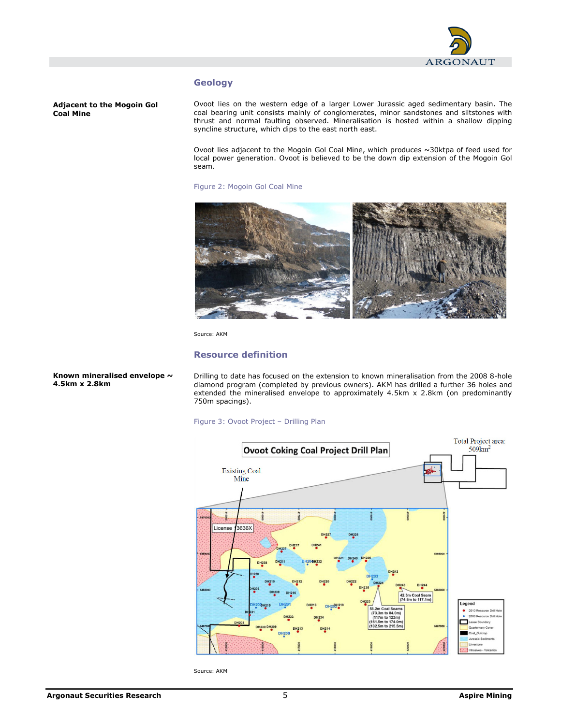

## **Geology**

Adjacent to the Mogoin Gol Coal Mine

Ovoot lies on the western edge of a larger Lower Jurassic aged sedimentary basin. The coal bearing unit consists mainly of conglomerates, minor sandstones and siltstones with thrust and normal faulting observed. Mineralisation is hosted within a shallow dipping syncline structure, which dips to the east north east.

Ovoot lies adjacent to the Mogoin Gol Coal Mine, which produces ~30ktpa of feed used for local power generation. Ovoot is believed to be the down dip extension of the Mogoin Gol seam.

Figure 2: Mogoin Gol Coal Mine



Source: AKM

## Resource definition

Known mineralised envelope  $\sim$ 4.5km x 2.8km

Drilling to date has focused on the extension to known mineralisation from the 2008 8-hole diamond program (completed by previous owners). AKM has drilled a further 36 holes and extended the mineralised envelope to approximately 4.5km x 2.8km (on predominantly 750m spacings).

## Figure 3: Ovoot Project – Drilling Plan



Source: AKM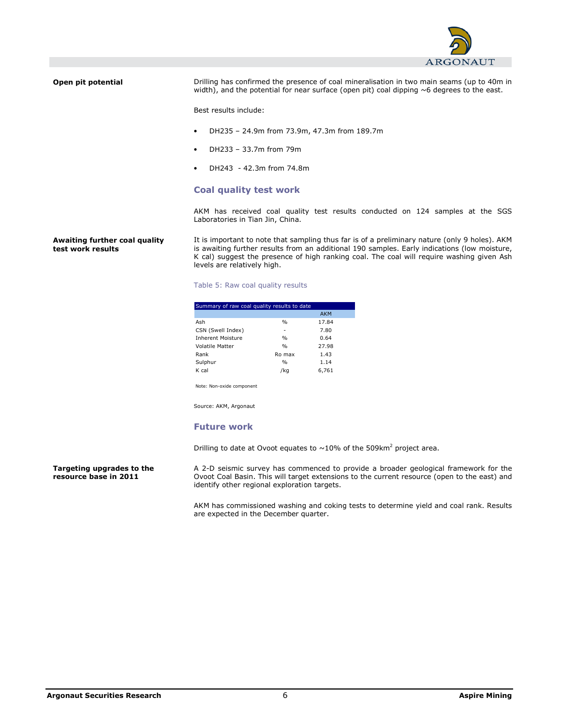

Open pit potential

Drilling has confirmed the presence of coal mineralisation in two main seams (up to 40m in width), and the potential for near surface (open pit) coal dipping  $\sim$ 6 degrees to the east.

Best results include:

- DH235 24.9m from 73.9m, 47.3m from 189.7m
- DH233 33.7m from 79m
- DH243 42.3m from 74.8m

#### Coal quality test work

AKM has received coal quality test results conducted on 124 samples at the SGS Laboratories in Tian Jin, China.

#### Awaiting further coal quality test work results

It is important to note that sampling thus far is of a preliminary nature (only 9 holes). AKM is awaiting further results from an additional 190 samples. Early indications (low moisture, K cal) suggest the presence of high ranking coal. The coal will require washing given Ash levels are relatively high.

Table 5: Raw coal quality results

| Summary of raw coal quality results to date |               |            |  |
|---------------------------------------------|---------------|------------|--|
|                                             |               | <b>AKM</b> |  |
| Ash                                         | $\frac{0}{0}$ | 17.84      |  |
| CSN (Swell Index)                           | ۰             | 7.80       |  |
| <b>Inherent Moisture</b>                    | $\frac{0}{0}$ | 0.64       |  |
| <b>Volatile Matter</b>                      | $\frac{0}{0}$ | 27.98      |  |
| Rank                                        | Ro max        | 1.43       |  |
| Sulphur                                     | $\frac{0}{0}$ | 1.14       |  |
| K cal                                       | /ka           | 6.761      |  |

Note: Non-oxide component

Source: AKM, Argonaut

#### Future work

Drilling to date at Ovoot equates to  $\sim$ 10% of the 509km<sup>2</sup> project area.

Targeting upgrades to the resource base in 2011

A 2-D seismic survey has commenced to provide a broader geological framework for the Ovoot Coal Basin. This will target extensions to the current resource (open to the east) and identify other regional exploration targets.

AKM has commissioned washing and coking tests to determine yield and coal rank. Results are expected in the December quarter.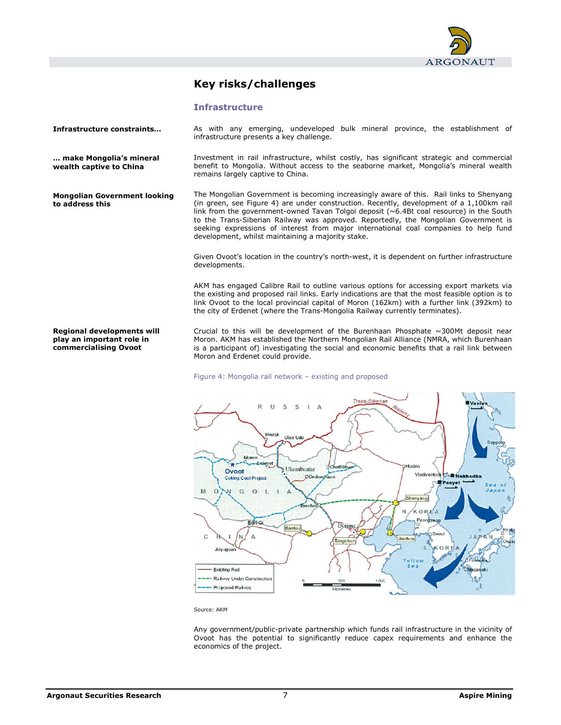

## Key risks/challenges

infrastructure presents a key challenge.

## **Infrastructure**

Infrastructure constraints…

… make Mongolia's mineral wealth captive to China

Mongolian Government looking to address this

Regional developments will play an important role in commercialising Ovoot

Investment in rail infrastructure, whilst costly, has significant strategic and commercial benefit to Mongolia. Without access to the seaborne market, Mongolia's mineral wealth remains largely captive to China.

As with any emerging, undeveloped bulk mineral province, the establishment of

The Mongolian Government is becoming increasingly aware of this. Rail links to Shenyang (in green, see Figure 4) are under construction. Recently, development of a 1,100km rail link from the government-owned Tavan Tolgoi deposit (~6.4Bt coal resource) in the South to the Trans-Siberian Railway was approved. Reportedly, the Mongolian Government is seeking expressions of interest from major international coal companies to help fund development, whilst maintaining a majority stake.

Given Ovoot's location in the country's north-west, it is dependent on further infrastructure developments.

AKM has engaged Calibre Rail to outline various options for accessing export markets via the existing and proposed rail links. Early indications are that the most feasible option is to link Ovoot to the local provincial capital of Moron (162km) with a further link (392km) to the city of Erdenet (where the Trans-Mongolia Railway currently terminates).

Crucial to this will be development of the Burenhaan Phosphate  $\sim$  300Mt deposit near Moron. AKM has established the Northern Mongolian Rail Alliance (NMRA, which Burenhaan is a participant of) investigating the social and economic benefits that a rail link between Moron and Erdenet could provide.

## Figure 4: Mongolia rail network – existing and proposed



Source: AKM

Any government/public-private partnership which funds rail infrastructure in the vicinity of Ovoot has the potential to significantly reduce capex requirements and enhance the economics of the project.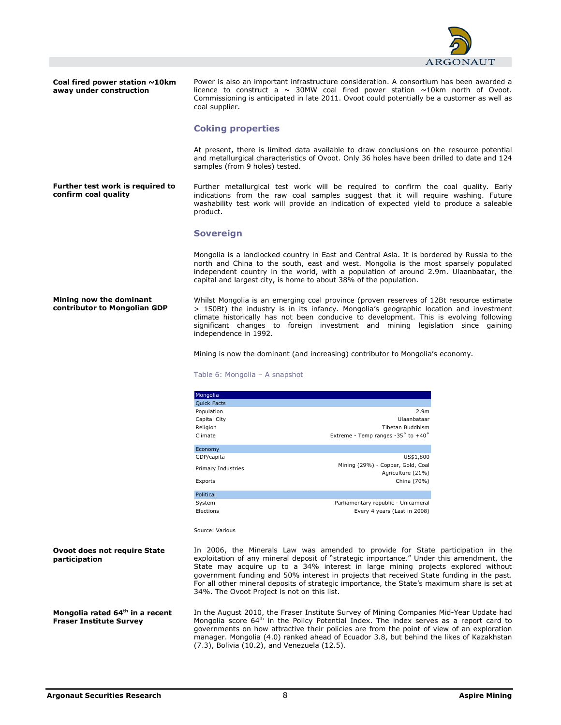

Coal fired power station  $\sim$ 10km away under construction Power is also an important infrastructure consideration. A consortium has been awarded a licence to construct a  $\sim$  30MW coal fired power station  $\sim$ 10km north of Ovoot. Commissioning is anticipated in late 2011. Ovoot could potentially be a customer as well as coal supplier.

## Coking properties

At present, there is limited data available to draw conclusions on the resource potential and metallurgical characteristics of Ovoot. Only 36 holes have been drilled to date and 124 samples (from 9 holes) tested.

Further test work is required to confirm coal quality Further metallurgical test work will be required to confirm the coal quality. Early indications from the raw coal samples suggest that it will require washing. Future washability test work will provide an indication of expected yield to produce a saleable product.

#### Sovereign

Mongolia is a landlocked country in East and Central Asia. It is bordered by Russia to the north and China to the south, east and west. Mongolia is the most sparsely populated independent country in the world, with a population of around 2.9m. Ulaanbaatar, the capital and largest city, is home to about 38% of the population.

### Mining now the dominant contributor to Mongolian GDP

Whilst Mongolia is an emerging coal province (proven reserves of 12Bt resource estimate > 150Bt) the industry is in its infancy. Mongolia's geographic location and investment climate historically has not been conducive to development. This is evolving following significant changes to foreign investment and mining legislation since gaining independence in 1992.

Mining is now the dominant (and increasing) contributor to Mongolia's economy.

#### Table 6: Mongolia – A snapshot

| <b>Quick Facts</b><br>Population | 2.9 <sub>m</sub>                                       |
|----------------------------------|--------------------------------------------------------|
|                                  |                                                        |
| Capital City                     | Ulaanbataar                                            |
| Religion                         | Tibetan Buddhism                                       |
| Climate                          | Extreme - Temp ranges - $35^\circ$ to +40 $^\circ$     |
| Economy                          |                                                        |
| GDP/capita                       | US\$1,800                                              |
| Primary Industries               | Mining (29%) - Copper, Gold, Coal<br>Agriculture (21%) |
| Exports                          | China (70%)                                            |
| Political                        |                                                        |
| System                           | Parliamentary republic - Unicameral                    |
| Elections                        | Every 4 years (Last in 2008)                           |

Ovoot does not require State participation

In 2006, the Minerals Law was amended to provide for State participation in the exploitation of any mineral deposit of "strategic importance." Under this amendment, the State may acquire up to a 34% interest in large mining projects explored without government funding and 50% interest in projects that received State funding in the past. For all other mineral deposits of strategic importance, the State's maximum share is set at 34%. The Ovoot Project is not on this list.

Mongolia rated 64<sup>th</sup> in a recent Fraser Institute Survey In the August 2010, the Fraser Institute Survey of Mining Companies Mid-Year Update had Mongolia score  $64<sup>th</sup>$  in the Policy Potential Index. The index serves as a report card to governments on how attractive their policies are from the point of view of an exploration manager. Mongolia (4.0) ranked ahead of Ecuador 3.8, but behind the likes of Kazakhstan (7.3), Bolivia (10.2), and Venezuela (12.5).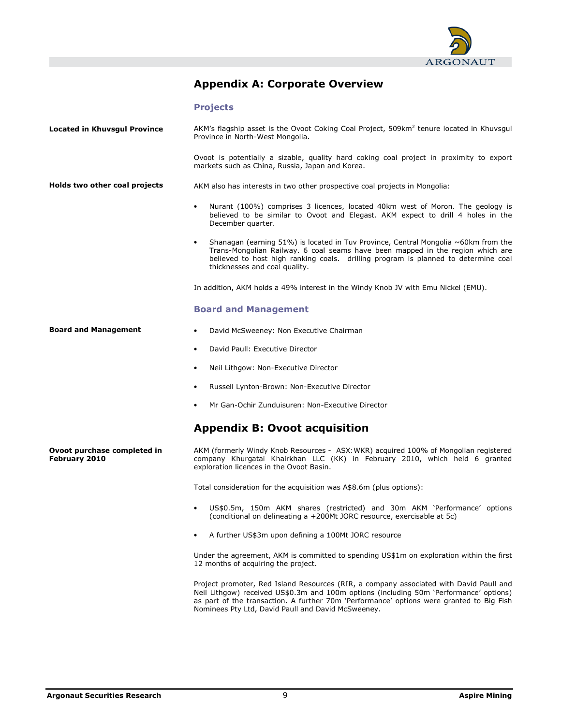

## Appendix A: Corporate Overview

### Projects

| <b>Located in Khuvsgul Province</b> | AKM's flagship asset is the Ovoot Coking Coal Project, 509km <sup>2</sup> tenure located in Khuvsgul |
|-------------------------------------|------------------------------------------------------------------------------------------------------|
|                                     | Province in North-West Mongolia.                                                                     |

Ovoot is potentially a sizable, quality hard coking coal project in proximity to export markets such as China, Russia, Japan and Korea.

Holds two other coal projects AKM also has interests in two other prospective coal projects in Mongolia:

- Nurant (100%) comprises 3 licences, located 40km west of Moron. The geology is believed to be similar to Ovoot and Elegast. AKM expect to drill 4 holes in the December quarter.
- Shanagan (earning 51%) is located in Tuv Province, Central Mongolia ~60km from the Trans-Mongolian Railway. 6 coal seams have been mapped in the region which are believed to host high ranking coals. drilling program is planned to determine coal thicknesses and coal quality.

In addition, AKM holds a 49% interest in the Windy Knob JV with Emu Nickel (EMU).

### Board and Management

- Board and Management
- David McSweeney: Non Executive Chairman
- David Paull: Executive Director
- Neil Lithgow: Non-Executive Director
- Russell Lynton-Brown: Non-Executive Director
- Mr Gan-Ochir Zunduisuren: Non-Executive Director

## Appendix B: Ovoot acquisition

AKM (formerly Windy Knob Resources - ASX:WKR) acquired 100% of Mongolian registered company Khurgatai Khairkhan LLC (KK) in February 2010, which held 6 granted exploration licences in the Ovoot Basin.

Total consideration for the acquisition was A\$8.6m (plus options):

- US\$0.5m, 150m AKM shares (restricted) and 30m AKM 'Performance' options (conditional on delineating a +200Mt JORC resource, exercisable at 5c)
- A further US\$3m upon defining a 100Mt JORC resource

Under the agreement, AKM is committed to spending US\$1m on exploration within the first 12 months of acquiring the project.

Project promoter, Red Island Resources (RIR, a company associated with David Paull and Neil Lithgow) received US\$0.3m and 100m options (including 50m 'Performance' options) as part of the transaction. A further 70m 'Performance' options were granted to Big Fish Nominees Pty Ltd, David Paull and David McSweeney.

Ovoot purchase completed in February 2010